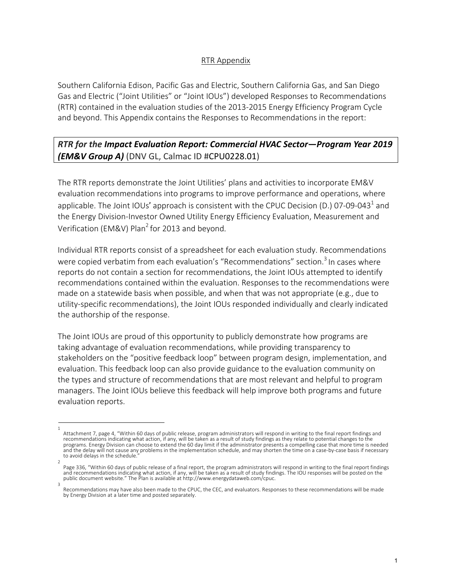## RTR Appendix

Southern California Edison, Pacific Gas and Electric, Southern California Gas, and San Diego Gas and Electric ("Joint Utilities" or "Joint IOUs") developed Responses to Recommendations (RTR) contained in the evaluation studies of the 2013-2015 Energy Efficiency Program Cycle and beyond. This Appendix contains the Responses to Recommendations in the report:

## *RTR for the Impact Evaluation Report: Commercial HVAC Sector—Program Year 2019 (EM&V Group A)* (DNV GL, Calmac ID #CPU0228.01)

The RTR reports demonstrate the Joint Utilities' plans and activities to incorporate EM&V evaluation recommendations into programs to improve performance and operations, where applicable. The Joint IOUs' approach is consistent with the CPUC Decision (D.) 07-09-043<sup>1</sup> and the Energy Division-Investor Owned Utility Energy Efficiency Evaluation, Measurement and Verification (EM&V) Plan<sup>2</sup> for 2013 and beyond.

Individual RTR reports consist of a spreadsheet for each evaluation study. Recommendations were copied verbatim from each evaluation's "Recommendations" section.<sup>3</sup> In cases where reports do not contain a section for recommendations, the Joint IOUs attempted to identify recommendations contained within the evaluation. Responses to the recommendations were made on a statewide basis when possible, and when that was not appropriate (e.g., due to utility-specific recommendations), the Joint IOUs responded individually and clearly indicated the authorship of the response.

The Joint IOUs are proud of this opportunity to publicly demonstrate how programs are taking advantage of evaluation recommendations, while providing transparency to stakeholders on the "positive feedback loop" between program design, implementation, and evaluation. This feedback loop can also provide guidance to the evaluation community on the types and structure of recommendations that are most relevant and helpful to program managers. The Joint IOUs believe this feedback will help improve both programs and future evaluation reports.

<sup>1</sup> Attachment 7, page 4, "Within 60 days of public release, program administrators will respond in writing to the final report findings and recommendations indicating what action, if any, will be taken as a result of study findings as they relate to potential changes to the programs. Energy Division can choose to extend the 60 day limit if the administrator presents a compelling case that more time is needed and the delay will not cause any problems in the implementation schedule, and may shorten the time on a case-by-case basis if necessary to avoid delays in the schedule.

<sup>2</sup> Page 336, "Within 60 days of public release of a final report, the program administrators will respond in writing to the final report findings and recommendations indicating what action, if any, will be taken as a result of study findings. The IOU responses will be posted on the<br>public document website." The Plan is available at http://www.energydataweb.com/cpuc. 3

Recommendations may have also been made to the CPUC, the CEC, and evaluators. Responses to these recommendations will be made by Energy Division at a later time and posted separately.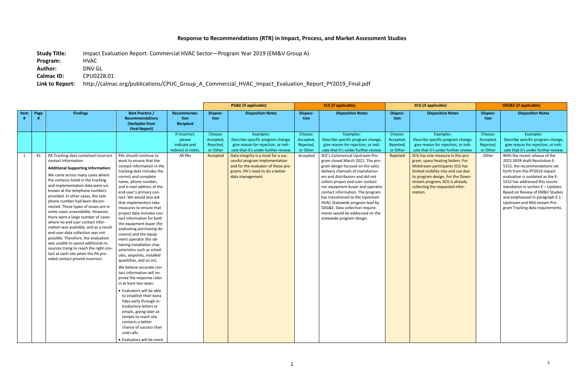## **Response to Recommendations (RTR) in Impact, Process, and Market Assessment Studies**

**Study Title:** Impact Evaluation Report: Commercial HVAC Sector—Program Year 2019 (EM&V Group A)

**Program:** HVAC

**Author:** DNV GL

**Calmac ID:** CPU0228.01

**Link to Report:** http://calmac.org/publications/CPUC\_Group\_A\_Commercial\_HVAC\_Impact\_Evaluation\_Report\_PY2019\_Final.pdf

|      |      |                                                                                                                                                                                                                                                                                                                                                                                                                                                                                                                                                                                                                                                                                                                                                                      |                                                                                                                                                                                                                                                                                                                                                                                                                                                                                                                                                                                                                                                                                                                                                                                                                                                                                                                                 |                                                                          | <b>PG&amp;E</b> (if applicable)                         |                                                                                                                                                                                                                                                                                                     | <b>SCE</b> (if applicable)                                |                                                                                                                                                                                                                                                                                                                                                                                                                                                                                                                                                                                                      | <b>SCG</b> (if applicable)                                |                                                                                                                                                                                                                                                                                                                                                                                                    | <b>SDG&amp;E (if applicable)</b>                     |                                                                                                                                                                                                                                                                                                                                                                                                                                                                                                                            |
|------|------|----------------------------------------------------------------------------------------------------------------------------------------------------------------------------------------------------------------------------------------------------------------------------------------------------------------------------------------------------------------------------------------------------------------------------------------------------------------------------------------------------------------------------------------------------------------------------------------------------------------------------------------------------------------------------------------------------------------------------------------------------------------------|---------------------------------------------------------------------------------------------------------------------------------------------------------------------------------------------------------------------------------------------------------------------------------------------------------------------------------------------------------------------------------------------------------------------------------------------------------------------------------------------------------------------------------------------------------------------------------------------------------------------------------------------------------------------------------------------------------------------------------------------------------------------------------------------------------------------------------------------------------------------------------------------------------------------------------|--------------------------------------------------------------------------|---------------------------------------------------------|-----------------------------------------------------------------------------------------------------------------------------------------------------------------------------------------------------------------------------------------------------------------------------------------------------|-----------------------------------------------------------|------------------------------------------------------------------------------------------------------------------------------------------------------------------------------------------------------------------------------------------------------------------------------------------------------------------------------------------------------------------------------------------------------------------------------------------------------------------------------------------------------------------------------------------------------------------------------------------------------|-----------------------------------------------------------|----------------------------------------------------------------------------------------------------------------------------------------------------------------------------------------------------------------------------------------------------------------------------------------------------------------------------------------------------------------------------------------------------|------------------------------------------------------|----------------------------------------------------------------------------------------------------------------------------------------------------------------------------------------------------------------------------------------------------------------------------------------------------------------------------------------------------------------------------------------------------------------------------------------------------------------------------------------------------------------------------|
| Item | Page | <b>Findings</b>                                                                                                                                                                                                                                                                                                                                                                                                                                                                                                                                                                                                                                                                                                                                                      | <b>Best Practice /</b><br><b>Recommendations</b><br>(Verbatim from<br><b>Final Report)</b>                                                                                                                                                                                                                                                                                                                                                                                                                                                                                                                                                                                                                                                                                                                                                                                                                                      | Recommenda-<br>tion<br><b>Recipient</b>                                  | Disposi-<br>tion                                        | <b>Disposition Notes</b>                                                                                                                                                                                                                                                                            | Disposi-<br>tion                                          | <b>Disposition Notes</b>                                                                                                                                                                                                                                                                                                                                                                                                                                                                                                                                                                             | Disposi-<br>tion                                          | <b>Disposition Notes</b>                                                                                                                                                                                                                                                                                                                                                                           | Disposi-<br>tion                                     | <b>Disposition Notes</b>                                                                                                                                                                                                                                                                                                                                                                                                                                                                                                   |
| 1    | 41   | PA Tracking data contained incorrect<br>contact information.<br><b>Additional Supporting Information:</b><br>We came across many cases where<br>the contacts listed in the tracking<br>and implementation data were un-<br>known at the telephone numbers<br>provided. In other cases, the tele-<br>phone number had been discon-<br>nected. These types of issues are in<br>some cases unavoidable. However,<br>there were a large number of cases<br>where no end user contact infor-<br>mation was available, and as a result<br>end-user data collection was not<br>possible. Therefore, the evaluation<br>was unable to spend additional re-<br>sources trying to reach the right con-<br>tact at each site when the PA pro-<br>vided contact proved incorrect. | PAs should continue to<br>work to ensure that the<br>contact information in the<br>tracking data includes the<br>correct and complete<br>name, phone number,<br>and e-mail address of the<br>end-user's primary con-<br>tact. We would also ask<br>that implementers take<br>measures to ensure that<br>project data includes con-<br>tact information for both<br>the equipment buyer (for<br>evaluating purchasing de-<br>cisions) and the equip-<br>ment operator (for ob-<br>taining installation char-<br>acteristics such as sched-<br>ules, setpoints, installed<br>quantities, and so on).<br>We believe accurate con-<br>tact information will im-<br>prove the response rates<br>in at least two ways:<br>• Evaluators will be able<br>to establish their bona<br>fides early through in-<br>troductory letters or<br>emails, giving later at-<br>tempts to reach site<br>contacts a better<br>chance of success than | If incorrect,<br>please<br>indicate and<br>redirect in notes.<br>All PAs | Choose:<br>Accepted<br>Rejected<br>or Other<br>Accepted | Examples:<br>Describe specific program change,<br>give reason for rejection, or indi-<br>cate that it's under further review<br>Data integrity is a must for a suc-<br>cessful program implementation<br>and for the evaluator of these pro-<br>grams. PA's need to do a better<br>data management. | Choose:<br>Accepted,<br>Rejected,<br>or Other<br>Accepted | Examples:<br>Describe specific program change,<br>give reason for rejection, or indi-<br>cate that it's under further review.<br>SCE's Commercial Upstream Pro-<br>gram closed March 2021. The pro-<br>gram design focused on the sales<br>delivery channels of manufactur-<br>ers and distributors and did not<br>collect project end-user contact<br>nor equipment buyer and operator<br>contact information. The program<br>has transitioned to the Upstream<br>HVAC Statewide program lead by<br>SDG&E. Data collection require-<br>ments would be addressed on the<br>statewide program design. | Choose:<br>Accepted,<br>Rejected,<br>or Other<br>Rejected | Examples:<br>Describe specific program change,<br>give reason for rejection, or indi-<br>cate that it's under further review.<br>SCG has one measure in this pro-<br>gram, space heating boilers. For<br>Midstream participants SCG has<br>limited visibility into end use due<br>to program design. For the Down-<br>stream program, SCG is already<br>collecting the requested infor-<br>mation. | Choose:<br>Accepted<br>Rejected<br>or Other<br>Other | Examples:<br>Describe specific program change,<br>give reason for rejection, or indi-<br>cate that it's under further review.<br>With the recent release of the<br>2023 DEER draft Resolution E-<br>5152, the recommendations set<br>forth from this PY2019 impact<br>evaluation is outdated as the E-<br>5152 has addressed this recom-<br>mendation in section $E -$ Updates<br>Based on Review of EM&V Studies<br>and emphasized in paragraph E.1 -<br>Upstream and Mid-stream Pro-<br>gram Tracking data requirements. |
|      |      |                                                                                                                                                                                                                                                                                                                                                                                                                                                                                                                                                                                                                                                                                                                                                                      | cold calls.<br>• Evaluators will be more                                                                                                                                                                                                                                                                                                                                                                                                                                                                                                                                                                                                                                                                                                                                                                                                                                                                                        |                                                                          |                                                         |                                                                                                                                                                                                                                                                                                     |                                                           |                                                                                                                                                                                                                                                                                                                                                                                                                                                                                                                                                                                                      |                                                           |                                                                                                                                                                                                                                                                                                                                                                                                    |                                                      |                                                                                                                                                                                                                                                                                                                                                                                                                                                                                                                            |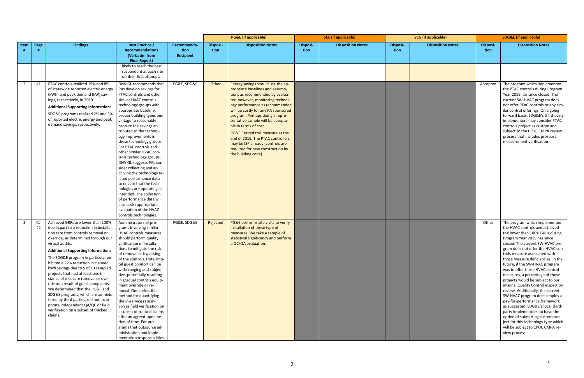|                |              |                                                                                                                                                                                                                                                                                                                                                                                                                                                                                                                                                                                                                                                                             |                                                                                                                                                                                                                                                                                                                                                                                                                                                                                                                                                                                                                                                                                                                          |                                  | <b>PG&amp;E</b> (if applicable) |                                                                                                                                                                                                                                                                                                                                                                                                                                                                                               | <b>SCE</b> (if applicable) |                          | <b>SCG</b> (if applicable) |                          | <b>SDG&amp;E (if applicable)</b> |                                                                                                                                                                                                                                                                                                                                                                                                                                                                                                                                                                                                                                                                                                                                                                                     |
|----------------|--------------|-----------------------------------------------------------------------------------------------------------------------------------------------------------------------------------------------------------------------------------------------------------------------------------------------------------------------------------------------------------------------------------------------------------------------------------------------------------------------------------------------------------------------------------------------------------------------------------------------------------------------------------------------------------------------------|--------------------------------------------------------------------------------------------------------------------------------------------------------------------------------------------------------------------------------------------------------------------------------------------------------------------------------------------------------------------------------------------------------------------------------------------------------------------------------------------------------------------------------------------------------------------------------------------------------------------------------------------------------------------------------------------------------------------------|----------------------------------|---------------------------------|-----------------------------------------------------------------------------------------------------------------------------------------------------------------------------------------------------------------------------------------------------------------------------------------------------------------------------------------------------------------------------------------------------------------------------------------------------------------------------------------------|----------------------------|--------------------------|----------------------------|--------------------------|----------------------------------|-------------------------------------------------------------------------------------------------------------------------------------------------------------------------------------------------------------------------------------------------------------------------------------------------------------------------------------------------------------------------------------------------------------------------------------------------------------------------------------------------------------------------------------------------------------------------------------------------------------------------------------------------------------------------------------------------------------------------------------------------------------------------------------|
| Item           | Page<br>#    | <b>Findings</b>                                                                                                                                                                                                                                                                                                                                                                                                                                                                                                                                                                                                                                                             | <b>Best Practice /</b><br><b>Recommendations</b><br>(Verbatim from<br><b>Final Report)</b>                                                                                                                                                                                                                                                                                                                                                                                                                                                                                                                                                                                                                               | Recommenda-<br>tion<br>Recipient | <b>Disposi-</b><br>tion         | <b>Disposition Notes</b>                                                                                                                                                                                                                                                                                                                                                                                                                                                                      | <b>Disposi-</b><br>tion    | <b>Disposition Notes</b> | Disposi-<br>tion           | <b>Disposition Notes</b> | <b>Disposi-</b><br>tion          | <b>Disposition Notes</b>                                                                                                                                                                                                                                                                                                                                                                                                                                                                                                                                                                                                                                                                                                                                                            |
|                |              |                                                                                                                                                                                                                                                                                                                                                                                                                                                                                                                                                                                                                                                                             | likely to reach the best<br>respondent at each site<br>on their first attempt.                                                                                                                                                                                                                                                                                                                                                                                                                                                                                                                                                                                                                                           |                                  |                                 |                                                                                                                                                                                                                                                                                                                                                                                                                                                                                               |                            |                          |                            |                          |                                  |                                                                                                                                                                                                                                                                                                                                                                                                                                                                                                                                                                                                                                                                                                                                                                                     |
| $\overline{2}$ | 41           | PTAC controls realized 15% and 8%<br>of statewide reported electric energy<br>(kWh) and peak demand (kW) sav-<br>ings, respectively, in 2019.<br><b>Additional Supporting Information:</b><br>SDG&E programs realized 2% and 3%<br>of reported electric energy and peak<br>demand savings, respectively.                                                                                                                                                                                                                                                                                                                                                                    | DNV GL recommends that<br>PAs develop savings for<br>PTAC controls and other<br>similar HVAC controls<br>technology groups with<br>appropriate baseline,<br>proper building types and<br>vintage to reasonably<br>capture the savings at-<br>tributed to the technol-<br>ogy improvements in<br>these technology groups.<br>For PTAC controls and<br>other similar HVAC con-<br>trols technology groups,<br>DNV GL suggests PAs con-<br>sider collecting and ar-<br>chiving the technology re-<br>lated performance data<br>to ensure that the tech-<br>nologies are operating as<br>intended. The collection<br>of performance data will<br>also assist appropriate<br>evaluation of the HVAC<br>controls technologies. | PG&E, SDG&E                      | Other                           | Energy savings should use the ap-<br>propriate baselines and assump-<br>tions as recommended by evalua-<br>tor, however, monitoring technol-<br>ogy performance as recommended<br>will be costly for any PA sponsored<br>program. Perhaps doing a repre-<br>sentative sample will be accepta-<br>ble in terms of cost.<br>PG&E Retired this measure at the<br>end of 2019. The PTAC controllers<br>may be ISP already (controls are<br>required for new construction by<br>the building code) |                            |                          |                            |                          | Accepted                         | The program which implemented<br>the PTAC controls during Program<br>Year 2019 has since closed. The<br>current SW-HVAC program does<br>not offer PTAC controls or any sim-<br>ilar control offerings. On a going<br>forward basis, SDG&E's third-party<br>implementers may consider PTAC<br>controls project as custom and<br>subject to the CPUC CMPA review<br>process that includes pre/post<br>measurement verification.                                                                                                                                                                                                                                                                                                                                                       |
| $\overline{3}$ | $41 -$<br>42 | Achieved GRRs are lower than 100%<br>due in part to a reduction in installa-<br>tion rate from controls removal or<br>override, as determined through our<br>virtual audits.<br><b>Additional Supporting Information:</b><br>The SDG&E program in particular ex-<br>hibited a 22% reduction in claimed<br>kWh savings due to 5 of 13 sampled<br>projects that had at least one in-<br>stance of measure removal or over-<br>ride as a result of guest complaints.<br>We determined that the PG&E and<br>SDG&E programs, which are adminis-<br>tered by third parties, did not incor-<br>porate independent QA/QC or field<br>verification on a subset of tracked<br>claims. | Administrators of pro-<br>grams involving similar<br><b>HVAC controls measures</b><br>should perform quality<br>verification of installa-<br>tions to mitigate the risk<br>of removal or bypassing<br>of the controls. Hotel/mo-<br>tel guest comfort can be<br>wide-ranging and subjec-<br>tive, potentially resulting<br>in gradual controls equip-<br>ment override or re-<br>moval. One defensible<br>method for quantifying<br>the in-service rate in-<br>volves field verification on<br>a subset of tracked claims<br>after an agreed-upon pe-<br>riod of time. For pro-<br>grams that outsource ad-<br>ministration and imple-<br>mentation responsibilities                                                     | PG&E, SDG&E                      | Rejected                        | PG&E performs site visits to verify<br>installation of these type of<br>measures. We take a sample of<br>statistical significancy and perform<br>a QC/QA evaluation.                                                                                                                                                                                                                                                                                                                          |                            |                          |                            |                          | Other                            | The program which implemented<br>the HVAC controls and achieved<br>the lower than 100% GRRs during<br>Program Year 2019 has since<br>closed. The current SW-HVAC pro-<br>gram does not offer the HVAC con-<br>trols measure associated with<br>those measure deficiencies. In the<br>future, if the SW-HVAC program<br>was to offer these HVAC control<br>measures, a percentage of those<br>projects would be subject to our<br>internal Quality Control inspection<br>review. Additionally, the current<br>SW-HVAC program does employ a<br>pay-for-performance framework<br>as suggested. SDG&E's local third-<br>party implementers do have the<br>option of submitting custom pro-<br>ject for this technology type which<br>will be subject to CPUC CMPA re-<br>view process. |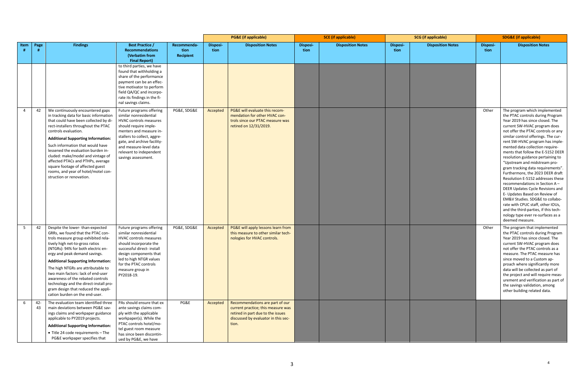|      |           |                                                                                                                                                                                                                                                                                                                                                                                                                                                                                                        |                                                                                                                                                                                                                                                                                   |                                  | <b>PG&amp;E</b> (if applicable) |                                                                                                                                                            | <b>SCE</b> (if applicable) |                          | <b>SCG</b> (if applicable) |                          | <b>SDG&amp;E</b> (if applicable) |                                                                                                                                                                                                                                                                                                                                                                                                                                                                                                                                                                                                                                                                                                                                                                                               |
|------|-----------|--------------------------------------------------------------------------------------------------------------------------------------------------------------------------------------------------------------------------------------------------------------------------------------------------------------------------------------------------------------------------------------------------------------------------------------------------------------------------------------------------------|-----------------------------------------------------------------------------------------------------------------------------------------------------------------------------------------------------------------------------------------------------------------------------------|----------------------------------|---------------------------------|------------------------------------------------------------------------------------------------------------------------------------------------------------|----------------------------|--------------------------|----------------------------|--------------------------|----------------------------------|-----------------------------------------------------------------------------------------------------------------------------------------------------------------------------------------------------------------------------------------------------------------------------------------------------------------------------------------------------------------------------------------------------------------------------------------------------------------------------------------------------------------------------------------------------------------------------------------------------------------------------------------------------------------------------------------------------------------------------------------------------------------------------------------------|
| Item | Page      | <b>Findings</b>                                                                                                                                                                                                                                                                                                                                                                                                                                                                                        | <b>Best Practice /</b><br><b>Recommendations</b><br>(Verbatim from<br><b>Final Report)</b>                                                                                                                                                                                        | Recommenda-<br>tion<br>Recipient | Disposi-<br>tion                | <b>Disposition Notes</b>                                                                                                                                   | Disposi-<br>tion           | <b>Disposition Notes</b> | <b>Disposi-</b><br>tion    | <b>Disposition Notes</b> | <b>Disposi-</b><br>tion          | <b>Disposition Notes</b>                                                                                                                                                                                                                                                                                                                                                                                                                                                                                                                                                                                                                                                                                                                                                                      |
|      |           |                                                                                                                                                                                                                                                                                                                                                                                                                                                                                                        | to third parties, we have<br>found that withholding a<br>share of the performance<br>payment can be an effec-<br>tive motivator to perform<br>field QA/QC and incorpo-<br>rate its findings in the fi-<br>nal savings claims.                                                     |                                  |                                 |                                                                                                                                                            |                            |                          |                            |                          |                                  |                                                                                                                                                                                                                                                                                                                                                                                                                                                                                                                                                                                                                                                                                                                                                                                               |
| 4    | 42        | We continuously encountered gaps<br>in tracking data for basic information<br>that could have been collected by di-<br>rect-installers throughout the PTAC<br>controls evaluation.<br><b>Additional Supporting Information:</b><br>Such information that would have<br>lessened the evaluation burden in-<br>cluded: make/model and vintage of<br>affected PTACs and PTHPs, average<br>square footage of affected guest<br>rooms, and year of hotel/motel con-<br>struction or renovation.             | Future programs offering<br>similar nonresidential<br><b>HVAC controls measures</b><br>should require imple-<br>menters and measure in-<br>stallers to collect, aggre-<br>gate, and archive facility-<br>and measure-level data<br>relevant to independent<br>savings assessment. | PG&E, SDG&E                      | Accepted                        | PG&E will evaluate this recom-<br>mendation for other HVAC con-<br>trols since our PTAC measure was<br>retired on 12/31/2019.                              |                            |                          |                            |                          | Other                            | The program which implemented<br>the PTAC controls during Program<br>Year 2019 has since closed. The<br>current SW-HVAC program does<br>not offer the PTAC controls or any<br>similar control offerings. The cur-<br>rent SW-HVAC program has imple-<br>mented data collection require-<br>ments that follow the E-5152 DEER<br>resolution guidance pertaining to<br>"Upstream and midstream pro-<br>gram tracking data requirements".<br>Furthermore, the 2023 DEER draft<br>Resolution E-5152 addresses these<br>recommendations in Section A-<br>DEER Updates Cycle Revisions and<br>E- Updates Based on Review of<br>EM&V Studies. SDG&E to collabo-<br>rate with CPUC staff, other IOUs,<br>and the third-parties, if this tech-<br>nology type ever re-surfaces as a<br>deemed measure. |
| 5    | 42        | Despite the lower-than-expected<br>GRRs, we found that the PTAC con-<br>trols measure group exhibited rela-<br>tively high net-to-gross ratios<br>(NTGRs): 94% for both electric en-<br>ergy and peak demand savings.<br><b>Additional Supporting Information:</b><br>The high NTGRs are attributable to<br>two main factors: lack of end-user<br>awareness of the rebated controls<br>technology and the direct-install pro-<br>gram design that reduced the appli-<br>cation burden on the end-user. | Future programs offering<br>similar nonresidential<br><b>HVAC controls measures</b><br>should incorporate the<br>successful direct- install<br>design components that<br>led to high NTGR values<br>for the PTAC controls<br>measure group in<br>PY2018-19.                       | PG&E, SDG&E                      | Accepted                        | PG&E will apply lessons learn from<br>this measure to other similar tech-<br>nologies for HVAC controls.                                                   |                            |                          |                            |                          | Other                            | The program that implemented<br>the PTAC controls during Program<br>Year 2019 has since closed. The<br>current SW-HVAC program does<br>not offer the PTAC controls as a<br>measure. The PTAC measure has<br>since moved to a Custom ap-<br>proach where significantly more<br>data will be collected as part of<br>the project and will require meas-<br>urement and verification as part of<br>the savings validation, among<br>other building related data.                                                                                                                                                                                                                                                                                                                                 |
| 6    | 42-<br>43 | The evaluation team identified three<br>main deviations between PG&E sav-<br>ings claims and workpaper guidance<br>applicable to PY2019 projects.<br><b>Additional Supporting Information:</b><br>• Title 24 code requirements - The<br>PG&E workpaper specifies that                                                                                                                                                                                                                                  | PAs should ensure that ex<br>ante savings claims com-<br>ply with the applicable<br>workpaper(s). While the<br>PTAC controls hotel/mo-<br>tel guest room measure<br>has since been discontin-<br>ued by PG&E, we have                                                             | PG&E                             | Accepted                        | Recommendations are part of our<br>current practice; this measure was<br>retired in part due to the issues<br>discussed by evaluator in this sec-<br>tion. |                            |                          |                            |                          |                                  |                                                                                                                                                                                                                                                                                                                                                                                                                                                                                                                                                                                                                                                                                                                                                                                               |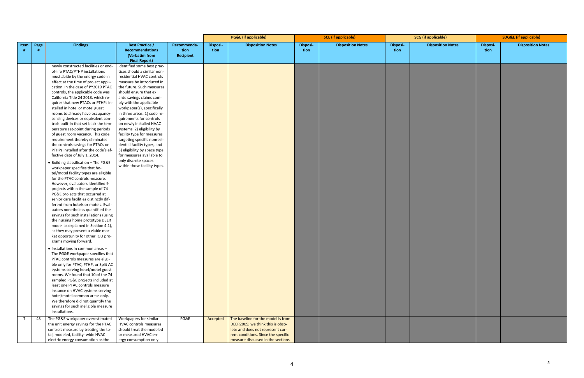|                   |                                                                                                                                                                                                                                                                                                                                                                                                                                                                                                                                                                                                                                                                                                                                                                                                                                                                                                                                                                                                                                                                                                                                                                                                                                                                                                                                                                                                                                                                                                                                                                                                                                                                                                                                                                 |                                                                                                                                                                                                                                                                                                                                                                                                                                                                                                                                                                                                                           |                                         | <b>PG&amp;E</b> (if applicable) |                                                                                                                                                                                        | <b>SCE</b> (if applicable) |                          | <b>SCG</b> (if applicable) |                          | <b>SDG&amp;E</b> (if applicable) |                          |
|-------------------|-----------------------------------------------------------------------------------------------------------------------------------------------------------------------------------------------------------------------------------------------------------------------------------------------------------------------------------------------------------------------------------------------------------------------------------------------------------------------------------------------------------------------------------------------------------------------------------------------------------------------------------------------------------------------------------------------------------------------------------------------------------------------------------------------------------------------------------------------------------------------------------------------------------------------------------------------------------------------------------------------------------------------------------------------------------------------------------------------------------------------------------------------------------------------------------------------------------------------------------------------------------------------------------------------------------------------------------------------------------------------------------------------------------------------------------------------------------------------------------------------------------------------------------------------------------------------------------------------------------------------------------------------------------------------------------------------------------------------------------------------------------------|---------------------------------------------------------------------------------------------------------------------------------------------------------------------------------------------------------------------------------------------------------------------------------------------------------------------------------------------------------------------------------------------------------------------------------------------------------------------------------------------------------------------------------------------------------------------------------------------------------------------------|-----------------------------------------|---------------------------------|----------------------------------------------------------------------------------------------------------------------------------------------------------------------------------------|----------------------------|--------------------------|----------------------------|--------------------------|----------------------------------|--------------------------|
| Item<br>Page<br># | <b>Findings</b>                                                                                                                                                                                                                                                                                                                                                                                                                                                                                                                                                                                                                                                                                                                                                                                                                                                                                                                                                                                                                                                                                                                                                                                                                                                                                                                                                                                                                                                                                                                                                                                                                                                                                                                                                 | <b>Best Practice /</b><br><b>Recommendations</b><br>(Verbatim from                                                                                                                                                                                                                                                                                                                                                                                                                                                                                                                                                        | Recommenda-<br>tion<br><b>Recipient</b> | Disposi-<br>tion                | <b>Disposition Notes</b>                                                                                                                                                               | <b>Disposi-</b><br>tion    | <b>Disposition Notes</b> | Disposi-<br>tion           | <b>Disposition Notes</b> | Disposi-<br>tion                 | <b>Disposition Notes</b> |
|                   | newly constructed facilities or end-<br>of-life PTAC/PTHP installations<br>must abide by the energy code in<br>effect at the time of project appli-<br>cation. In the case of PY2019 PTAC<br>controls, the applicable code was<br>California Title 24 2013, which re-<br>quires that new PTACs or PTHPs in-<br>stalled in hotel or motel guest<br>rooms to already have occupancy-<br>sensing devices or equivalent con-<br>trols built-in that set back the tem-<br>perature set-point during periods<br>of guest room vacancy. This code<br>requirement thereby eliminates<br>the controls savings for PTACs or<br>PTHPs installed after the code's ef-<br>fective date of July 1, 2014.<br>• Building classification - The PG&E<br>workpaper specifies that ho-<br>tel/motel facility types are eligible<br>for the PTAC controls measure.<br>However, evaluators identified 9<br>projects within the sample of 74<br>PG&E projects that occurred at<br>senior care facilities distinctly dif-<br>ferent from hotels or motels. Eval-<br>uators nonetheless quantified the<br>savings for such installations (using<br>the nursing home prototype DEER<br>model as explained in Section 4.1),<br>as they may present a viable mar-<br>ket opportunity for other IOU pro-<br>grams moving forward.<br>• Installations in common areas -<br>The PG&E workpaper specifies that<br>PTAC controls measures are eligi-<br>ble only for PTAC, PTHP, or Split AC<br>systems serving hotel/motel guest<br>rooms. We found that 10 of the 74<br>sampled PG&E projects included at<br>least one PTAC controls measure<br>instance on HVAC systems serving<br>hotel/motel common areas only.<br>We therefore did not quantify the<br>savings for such ineligible measure | <b>Final Report)</b><br>identified some best prac-<br>tices should a similar non-<br>residential HVAC controls<br>measure be introduced in<br>the future. Such measures<br>should ensure that ex<br>ante savings claims com-<br>ply with the applicable<br>workpaper(s), specifically<br>in three areas: 1) code re-<br>quirements for controls<br>on newly installed HVAC<br>systems, 2) eligibility by<br>facility type for measures<br>targeting specific nonresi-<br>dential facility types, and<br>3) eligibility by space type<br>for measures available to<br>only discrete spaces<br>within those facility types. |                                         |                                 |                                                                                                                                                                                        |                            |                          |                            |                          |                                  |                          |
| 43                | installations.<br>The PG&E workpaper overestimated<br>the unit energy savings for the PTAC<br>controls measure by treating the to-<br>tal, modeled, facility- wide HVAC<br>electric energy consumption as the                                                                                                                                                                                                                                                                                                                                                                                                                                                                                                                                                                                                                                                                                                                                                                                                                                                                                                                                                                                                                                                                                                                                                                                                                                                                                                                                                                                                                                                                                                                                                   | Workpapers for similar<br>HVAC controls measures<br>should treat the modeled<br>or measured HVAC en-<br>ergy consumption only                                                                                                                                                                                                                                                                                                                                                                                                                                                                                             | PG&E                                    | Accepted                        | The baseline for the model is from<br>DEER2005; we think this is obso-<br>lete and does not represent cur-<br>rent conditions. Since the specific<br>measure discussed in the sections |                            |                          |                            |                          |                                  |                          |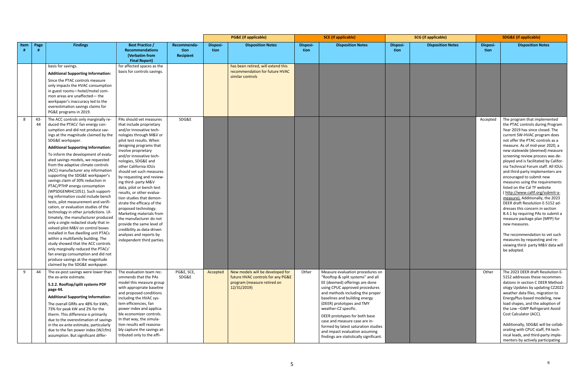|      |           |                                                                                                                                                                                                                                                                                                                                                                                                                                                                                                                                                                                                                                                                                                                                                                                                                                                                                                                                                                                                                                                                                          |                                                                                                                                                                                                                                                                                                                                                                                                                                                                                                                                                                                                                                                                            |                                         |                  | <b>PG&amp;E</b> (if applicable)                                                                                     |                         | <b>SCE</b> (if applicable)                                                                                                                                                                                                                                                                                                                                                                                                                                |                  | <b>SCG</b> (if applicable) |                         | <b>SDG&amp;E (if applicable)</b>                                                                                                                                                                                                                                                                                                                                                                                                                                                                                                                                                                                                                                                                                                                                                                                                                                    |
|------|-----------|------------------------------------------------------------------------------------------------------------------------------------------------------------------------------------------------------------------------------------------------------------------------------------------------------------------------------------------------------------------------------------------------------------------------------------------------------------------------------------------------------------------------------------------------------------------------------------------------------------------------------------------------------------------------------------------------------------------------------------------------------------------------------------------------------------------------------------------------------------------------------------------------------------------------------------------------------------------------------------------------------------------------------------------------------------------------------------------|----------------------------------------------------------------------------------------------------------------------------------------------------------------------------------------------------------------------------------------------------------------------------------------------------------------------------------------------------------------------------------------------------------------------------------------------------------------------------------------------------------------------------------------------------------------------------------------------------------------------------------------------------------------------------|-----------------------------------------|------------------|---------------------------------------------------------------------------------------------------------------------|-------------------------|-----------------------------------------------------------------------------------------------------------------------------------------------------------------------------------------------------------------------------------------------------------------------------------------------------------------------------------------------------------------------------------------------------------------------------------------------------------|------------------|----------------------------|-------------------------|---------------------------------------------------------------------------------------------------------------------------------------------------------------------------------------------------------------------------------------------------------------------------------------------------------------------------------------------------------------------------------------------------------------------------------------------------------------------------------------------------------------------------------------------------------------------------------------------------------------------------------------------------------------------------------------------------------------------------------------------------------------------------------------------------------------------------------------------------------------------|
| Item | Page      | <b>Findings</b>                                                                                                                                                                                                                                                                                                                                                                                                                                                                                                                                                                                                                                                                                                                                                                                                                                                                                                                                                                                                                                                                          | <b>Best Practice /</b><br><b>Recommendations</b><br>(Verbatim from<br><b>Final Report)</b>                                                                                                                                                                                                                                                                                                                                                                                                                                                                                                                                                                                 | Recommenda-<br>tion<br><b>Recipient</b> | Disposi-<br>tion | <b>Disposition Notes</b>                                                                                            | <b>Disposi-</b><br>tion | <b>Disposition Notes</b>                                                                                                                                                                                                                                                                                                                                                                                                                                  | Disposi-<br>tion | <b>Disposition Notes</b>   | <b>Disposi-</b><br>tion | <b>Disposition Notes</b>                                                                                                                                                                                                                                                                                                                                                                                                                                                                                                                                                                                                                                                                                                                                                                                                                                            |
|      |           | basis for savings.<br><b>Additional Supporting Information:</b><br>Since the PTAC controls measure<br>only impacts the HVAC consumption<br>in guest rooms-hotel/motel com-<br>mon areas are unaffected-the<br>workpaper's inaccuracy led to the<br>overestimation savings claims for<br>PG&E programs in 2019.                                                                                                                                                                                                                                                                                                                                                                                                                                                                                                                                                                                                                                                                                                                                                                           | for affected spaces as the<br>basis for controls savings.                                                                                                                                                                                                                                                                                                                                                                                                                                                                                                                                                                                                                  |                                         |                  | has been retired, will extend this<br>recommendation for future HVAC<br>similar controls                            |                         |                                                                                                                                                                                                                                                                                                                                                                                                                                                           |                  |                            |                         |                                                                                                                                                                                                                                                                                                                                                                                                                                                                                                                                                                                                                                                                                                                                                                                                                                                                     |
| 8    | -43<br>44 | The ACC controls only marginally re-<br>duced the PTACs' fan energy con-<br>sumption and did not produce sav-<br>ings at the magnitude claimed by the<br>SDG&E workpaper.<br><b>Additional Supporting Information:</b><br>To inform the development of evalu-<br>ated savings models, we requested<br>from the adaptive climate controls<br>(ACC) manufacturer any information<br>supporting the SDG&E workpaper's<br>savings claim of 30% reduction in<br>PTAC/PTHP energy consumption<br>(WPSDGENRHC1051). Such support-<br>ing information could include bench<br>tests, pilot measurement and verifi-<br>cation, or evaluation studies of the<br>technology in other jurisdictions. Ul-<br>timately, the manufacturer produced<br>only a single redacted study that in-<br>volved pilot M&V on control boxes<br>installed in five dwelling unit PTACs<br>within a multifamily building. The<br>study showed that the ACC controls<br>only marginally reduced the PTACs'<br>fan energy consumption and did not<br>produce savings at the magnitude<br>claimed by the SDG&E workpaper. | PAs should vet measures<br>that include proprietary<br>and/or innovative tech-<br>nologies through M&V or<br>pilot test results. When<br>designing programs that<br>involve proprietary<br>and/or innovative tech-<br>nologies, SDG&E and<br>other California IOUs<br>should vet such measures<br>by requesting and review-<br>ing third- party M&V<br>data, pilot or bench test<br>results, or other evalua-<br>tion studies that demon-<br>strate the efficacy of the<br>proposed technology.<br>Marketing materials from<br>the manufacturer do not<br>provide the same level of<br>credibility as data-driven<br>analyses and reports by<br>independent third parties. | SDG&E                                   |                  |                                                                                                                     |                         |                                                                                                                                                                                                                                                                                                                                                                                                                                                           |                  |                            | Accepted                | The program that implemented<br>the PTAC controls during Program<br>Year 2019 has since closed. The<br>current SW-HVAC program does<br>not offer the PTAC controls as a<br>measure. As of mid-year 2020, a<br>new statewide (deemed) measure<br>screening review process was de-<br>ployed and is facilitated by Califor-<br>nia Technical Forum staff. All IOUs<br>and third-party implementers are<br>encouraged to submit new<br>measures using the requirements<br>listed on the Cal TF website<br>(http://www.caltf.org/submit-a-<br>measure). Additionally, the 2023<br>DEER draft Resolution E-5152 ad-<br>dresses this concern in section<br>B.4.1 by requiring PAs to submit a<br>measure package plan (MPP) for<br>new measures.<br>The recommendation to yet such<br>measures by requesting and re-<br>viewing third- party M&V data will<br>be adopted. |
| 9    | 44        | The ex-post savings were lower than<br>the ex-ante estimate.<br>5.2.2. Rooftop/split systems PDF<br>page 44.<br><b>Additional Supporting Information:</b><br>The overall GRRs are 48% for kWh,<br>73% for peak kW and 2% for the<br>therm. This difference is primarily<br>due to the overestimation of savings<br>in the ex-ante estimate, particularly<br>due to the fan power index (W/cfm)<br>assumption. But significant differ-                                                                                                                                                                                                                                                                                                                                                                                                                                                                                                                                                                                                                                                    | The evaluation team rec-<br>ommends that the PAs<br>model this measure group<br>with appropriate baseline<br>and proposed conditions<br>including the HVAC sys-<br>tem efficiencies, fan<br>power index and applica-<br>ble economizer controls.<br>In that way, the simula-<br>tion results will reasona-<br>bly capture the savings at-<br>tributed only to the effi-                                                                                                                                                                                                                                                                                                    | PG&E, SCE,<br>SDG&E                     | Accepted         | New models will be developed for<br>future HVAC controls for any PG&E<br>program (measure retired on<br>12/31/2019) | Other                   | Measure evaluation procedures on<br>"Rooftop & split systems" and all<br>EE (deemed) offerings are done<br>using CPUC approved procedures<br>and methods including the proper<br>baselines and building energy<br>(DEER) prototypes and TMY<br>weather-CZ specific.<br>DEER prototypes for both base<br>case and measure case are in-<br>formed by latest saturation studies<br>and impact evaluation assuming<br>findings are statistically significant. |                  |                            | Other                   | The 2023 DEER draft Resolution E-<br>5152 addresses these recommen-<br>dations in section C DEER Method-<br>ology Updates by updating CZ2022<br>weather data files, migration to<br>EnergyPlus-based modeling, new<br>load shapes, and the adoption of<br>the Low-GWP Refrigerant Avoid<br>Cost Calculator (ACC).<br>Additionally, SDG&E will be collab-<br>orating with CPUC staff, PA tech-<br>nical leads, and third-party imple-<br>menters by actively participating                                                                                                                                                                                                                                                                                                                                                                                           |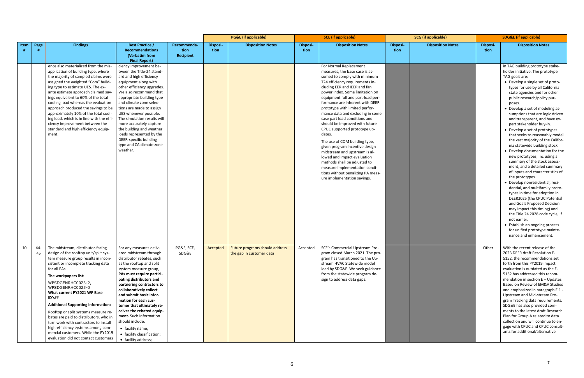|      |      |                                                                                                                                                                                                                                                                                                                                                                                                                                                                                                                                                                                     |                                                                                                                                                                                                                                                                                                                                                                                                                                                                                        |                                         |                  | <b>PG&amp;E</b> (if applicable)                                       |                  | <b>SCE</b> (if applicable)                                                                                                                                                                                                                                                                                                                                                                                                                                                                                                                                                                                                                                                                                                        |                         | <b>SCG</b> (if applicable) |                  | <b>SDG&amp;E</b> (if applicable)                                                                                                                                                                                                                                                                                                                                                                                                                                                                                                                                                                                                                                                                                                                                                                                                                                                                                                                                                                                                                                  |  |
|------|------|-------------------------------------------------------------------------------------------------------------------------------------------------------------------------------------------------------------------------------------------------------------------------------------------------------------------------------------------------------------------------------------------------------------------------------------------------------------------------------------------------------------------------------------------------------------------------------------|----------------------------------------------------------------------------------------------------------------------------------------------------------------------------------------------------------------------------------------------------------------------------------------------------------------------------------------------------------------------------------------------------------------------------------------------------------------------------------------|-----------------------------------------|------------------|-----------------------------------------------------------------------|------------------|-----------------------------------------------------------------------------------------------------------------------------------------------------------------------------------------------------------------------------------------------------------------------------------------------------------------------------------------------------------------------------------------------------------------------------------------------------------------------------------------------------------------------------------------------------------------------------------------------------------------------------------------------------------------------------------------------------------------------------------|-------------------------|----------------------------|------------------|-------------------------------------------------------------------------------------------------------------------------------------------------------------------------------------------------------------------------------------------------------------------------------------------------------------------------------------------------------------------------------------------------------------------------------------------------------------------------------------------------------------------------------------------------------------------------------------------------------------------------------------------------------------------------------------------------------------------------------------------------------------------------------------------------------------------------------------------------------------------------------------------------------------------------------------------------------------------------------------------------------------------------------------------------------------------|--|
| Item | Page | <b>Findings</b>                                                                                                                                                                                                                                                                                                                                                                                                                                                                                                                                                                     | <b>Best Practice /</b><br><b>Recommendations</b><br>(Verbatim from<br><b>Final Report)</b>                                                                                                                                                                                                                                                                                                                                                                                             | Recommenda-<br>tion<br><b>Recipient</b> | Disposi-<br>tion | <b>Disposition Notes</b>                                              | Disposi-<br>tion | <b>Disposition Notes</b>                                                                                                                                                                                                                                                                                                                                                                                                                                                                                                                                                                                                                                                                                                          | <b>Disposi-</b><br>tion | <b>Disposition Notes</b>   | Disposi-<br>tion | <b>Disposition Notes</b>                                                                                                                                                                                                                                                                                                                                                                                                                                                                                                                                                                                                                                                                                                                                                                                                                                                                                                                                                                                                                                          |  |
|      |      | ence also materialized from the mis-<br>application of building type, where<br>the majority of sampled claims were<br>assigned the weighted "Com" build-<br>ing type to estimate UES. The ex-<br>ante estimate approach claimed sav-<br>ings equivalent to 60% of the total<br>cooling load whereas the evaluation<br>approach produced the savings to be<br>approximately 10% of the total cool-<br>ing load, which is in line with the effi<br>ciency improvement between the<br>standard and high efficiency equip-<br>ment.                                                     | ciency improvement be-<br>tween the Title-24 stand-<br>ard and high efficiency<br>equipment along with<br>other efficiency upgrades.<br>We also recommend that<br>appropriate building type<br>and climate zone selec-<br>tions are made to assign<br>UES whenever possible.<br>The simulation results will<br>more accurately capture<br>the building and weather<br>loads represented by the<br>DEER-specific building<br>type and CA climate zone<br>weather.                       |                                         |                  |                                                                       |                  | For Normal Replacement<br>measures, the base case is as-<br>sumed to comply with minimum<br>T24 efficiency requirements in-<br>cluding EER and IEER and fan<br>power index. Some limitation on<br>equipment full and part-load per-<br>formance are inherent with DEER<br>prototype with limited perfor-<br>mance data and excluding in some<br>case part load conditions and<br>should be improved with future<br>CPUC supported prototype up-<br>dates.<br>The use of COM building type,<br>given program incentive design<br>midstream and upstream is al-<br>lowed and impact evaluation<br>methods shall be adjusted to<br>measure implementation condi-<br>tions without penalizing PA meas-<br>ure implementation savings. |                         |                            |                  | in TAG building prototype stake-<br>holder initiative. The prototype<br>TAG goals are:<br>• Develop a single set of proto-<br>types for use by all California<br>state agencies and for other<br>public research/policy pur-<br>poses.<br>• Develop a set of modeling as-<br>sumptions that are logic driven<br>and transparent, and have ex-<br>pert stakeholder buy-in.<br>• Develop a set of prototypes<br>that seeks to reasonably model<br>the vast majority of the Califor-<br>nia statewide building stock.<br>• Develop documentation for the<br>new prototypes, including a<br>summary of the stock assess-<br>ment, and a detailed summary<br>of inputs and characteristics of<br>the prototypes.<br>· Develop nonresidential, resi-<br>dential, and multifamily proto-<br>types in time for adoption in<br>DEER2025 (the CPUC Potential<br>and Goals Proposed Decision<br>may impact this timing) and<br>the Title 24 2028 code cycle, if<br>not earlier.<br>• Establish an ongoing process<br>for unified prototype mainte-<br>nance and enhancement. |  |
| 10   | 45   | 44- The midstream, distributor-facing<br>design of the rooftop unit/split sys-<br>tem measure group results in incon-<br>sistent or incomplete tracking data<br>for all PAs.<br>The workpapers list:<br>WPSDGENRHC0023-2,<br>WPSDGENRHC0025-0<br>What current PY2021 WP Base<br>ID's??<br><b>Additional Supporting Information:</b><br>Rooftop or split systems measure re-<br>bates are paid to distributors, who in<br>turn work with contractors to install<br>high-efficiency systems among com-<br>mercial customers. While the PY2019<br>evaluation did not contact customers | For any measures deliv-<br>ered midstream through<br>distributor rebates, such<br>as the rooftop and split<br>system measure group,<br>PAs must require partici-<br>pating distributors and<br>partnering contractors to<br>collaboratively collect<br>and submit basic infor-<br>mation for each cus-<br>tomer that ultimately re-<br>ceives the rebated equip-<br>ment. Such information<br>should include:<br>• facility name;<br>• facility classification;<br>• facility address; | PG&E, SCE,<br>SDG&E                     |                  | Accepted   Future programs should address<br>the gap in customer data |                  | Accepted   SCE's Commercial Upstream Pro-<br>gram closed March 2021. The pro-<br>gram has transitioned to the Up-<br>stream HVAC Statewide model<br>lead by SDG&E. We seek guidance<br>from the statewide program de-<br>sign to address data gaps.                                                                                                                                                                                                                                                                                                                                                                                                                                                                               |                         |                            | Other            | With the recent release of the<br>2023 DEER draft Resolution E-<br>5152, the recommendations set<br>forth from this PY2019 impact<br>evaluation is outdated as the E-<br>5152 has addressed this recom-<br>mendation in section E - Updates<br>Based on Review of EM&V Studies<br>and emphasized in paragraph E.1 -<br>Upstream and Mid-stream Pro-<br>gram Tracking data requirements.<br>SDG&E has also provided com-<br>ments to the latest draft Research<br>Plan for Group A related to data<br>collection and will continue to en-<br>gage with CPUC and CPUC consult-<br>ants for additional/alternative                                                                                                                                                                                                                                                                                                                                                                                                                                                   |  |